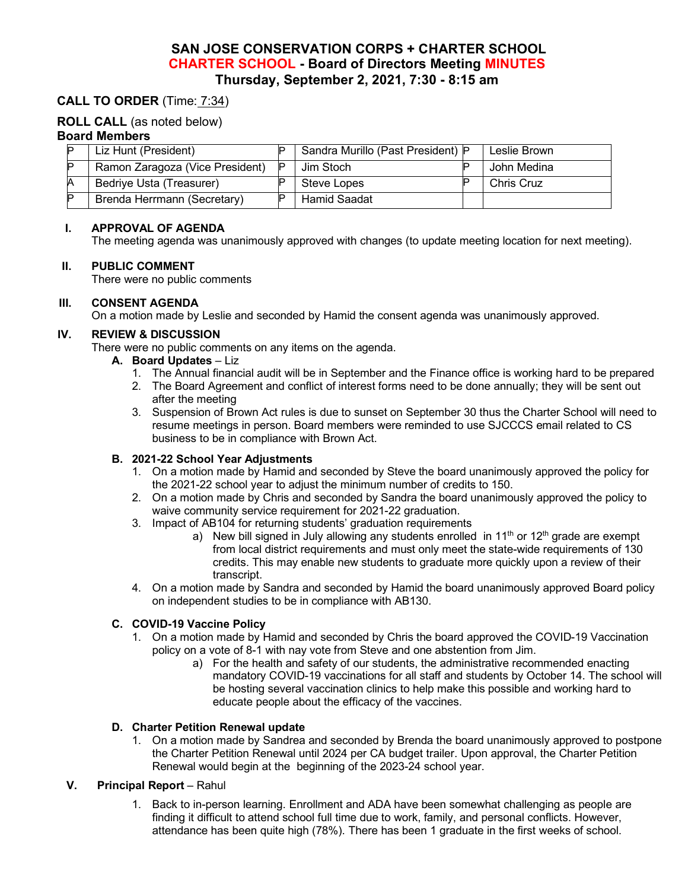# **SAN JOSE CONSERVATION CORPS + CHARTER SCHOOL CHARTER SCHOOL - Board of Directors Meeting MINUTES Thursday, September 2, 2021, 7:30 - 8:15 am**

## **CALL TO ORDER** (Time: 7:34)

#### **ROLL CALL** (as noted below)

#### **Board Members**

|    | Liz Hunt (President)            | Sandra Murillo (Past President) P | Leslie Brown      |
|----|---------------------------------|-----------------------------------|-------------------|
|    | Ramon Zaragoza (Vice President) | Jim Stoch                         | John Medina       |
|    | Bedriye Usta (Treasurer)        | Steve Lopes                       | <b>Chris Cruz</b> |
| םו | Brenda Herrmann (Secretary)     | Hamid Saadat                      |                   |

#### **I. APPROVAL OF AGENDA**

The meeting agenda was unanimously approved with changes (to update meeting location for next meeting).

#### **II. PUBLIC COMMENT**

There were no public comments

#### **III. CONSENT AGENDA**

On a motion made by Leslie and seconded by Hamid the consent agenda was unanimously approved.

#### **IV. REVIEW & DISCUSSION**

There were no public comments on any items on the agenda.

- **A. Board Updates**  Liz
	- 1. The Annual financial audit will be in September and the Finance office is working hard to be prepared
	- 2. The Board Agreement and conflict of interest forms need to be done annually; they will be sent out after the meeting
	- 3. Suspension of Brown Act rules is due to sunset on September 30 thus the Charter School will need to resume meetings in person. Board members were reminded to use SJCCCS email related to CS business to be in compliance with Brown Act.

#### **B. 2021-22 School Year Adjustments**

- 1. On a motion made by Hamid and seconded by Steve the board unanimously approved the policy for the 2021-22 school year to adjust the minimum number of credits to 150.
- 2. On a motion made by Chris and seconded by Sandra the board unanimously approved the policy to waive community service requirement for 2021-22 graduation.
- 3. Impact of AB104 for returning students' graduation requirements
	- a) New bill signed in July allowing any students enrolled in  $11<sup>th</sup>$  or  $12<sup>th</sup>$  grade are exempt from local district requirements and must only meet the state-wide requirements of 130 credits. This may enable new students to graduate more quickly upon a review of their transcript.
- 4. On a motion made by Sandra and seconded by Hamid the board unanimously approved Board policy on independent studies to be in compliance with AB130.

### **C. COVID-19 Vaccine Policy**

- 1. On a motion made by Hamid and seconded by Chris the board approved the COVID-19 Vaccination policy on a vote of 8-1 with nay vote from Steve and one abstention from Jim.
	- a) For the health and safety of our students, the administrative recommended enacting mandatory COVID-19 vaccinations for all staff and students by October 14. The school will be hosting several vaccination clinics to help make this possible and working hard to educate people about the efficacy of the vaccines.

#### **D. Charter Petition Renewal update**

1. On a motion made by Sandrea and seconded by Brenda the board unanimously approved to postpone the Charter Petition Renewal until 2024 per CA budget trailer. Upon approval, the Charter Petition Renewal would begin at the beginning of the 2023-24 school year.

### **V. Principal Report** – Rahul

1. Back to in-person learning. Enrollment and ADA have been somewhat challenging as people are finding it difficult to attend school full time due to work, family, and personal conflicts. However, attendance has been quite high (78%). There has been 1 graduate in the first weeks of school.